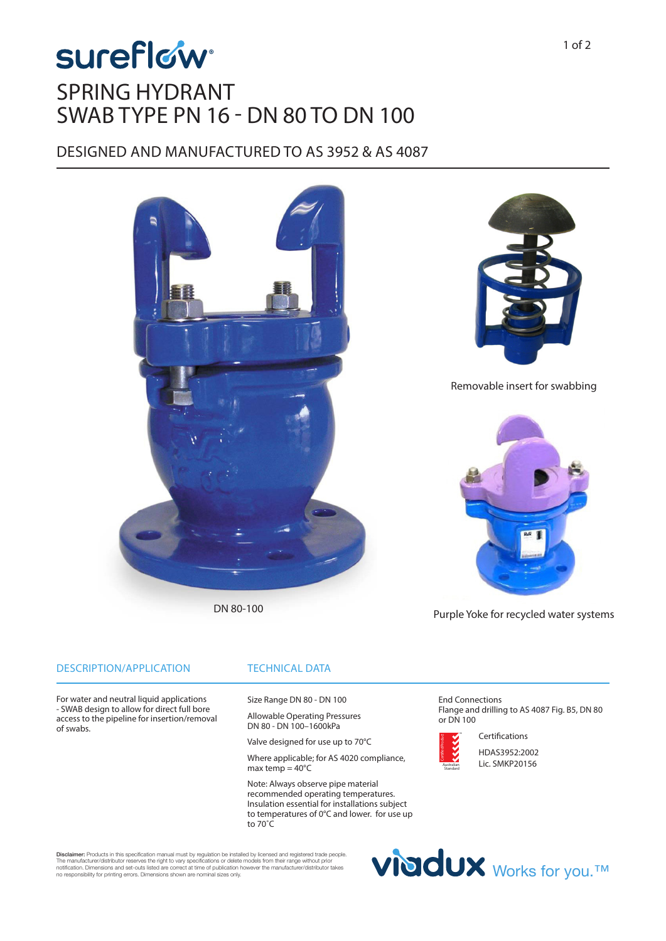# **sureflow** SPRING HYDRANT SWAB TYPE PN 16 - DN 80 TO DN 100

### DESIGNED AND MANUFACTURED TO AS 3952 & AS 4087



DN 80-100

Purple Yoke for recycled water systems

#### DESCRIPTION/APPLICATION

of swabs.

For water and neutral liquid applications - SWAB design to allow for direct full bore access to the pipeline for insertion/removal

### TECHNICAL DATA

Size Range DN 80 - DN 100

Allowable Operating Pressures DN 80 - DN 100–1600kPa

Valve designed for use up to 70°C

Where applicable; for AS 4020 compliance, max temp =  $40^{\circ}$ C

Note: Always observe pipe material recommended operating temperatures. Insulation essential for installations subject to temperatures of 0°C and lower. for use up to 70˚C

End Connections Flange and drilling to AS 4087 Fig. B5, DN 80 or DN 100



Certifications HDAS3952:2002 Lic. SMKP20156

Viddux Works for you.™

Disclaimer: Products in this specification manual must by regulation be installed by licensed and registered trade people. The manufacturer/distributor reserves the right to vary specifications or delete models from their range without prior<br>notification. Dimensions and set-outs listed are correct at time of publication however the manufacture